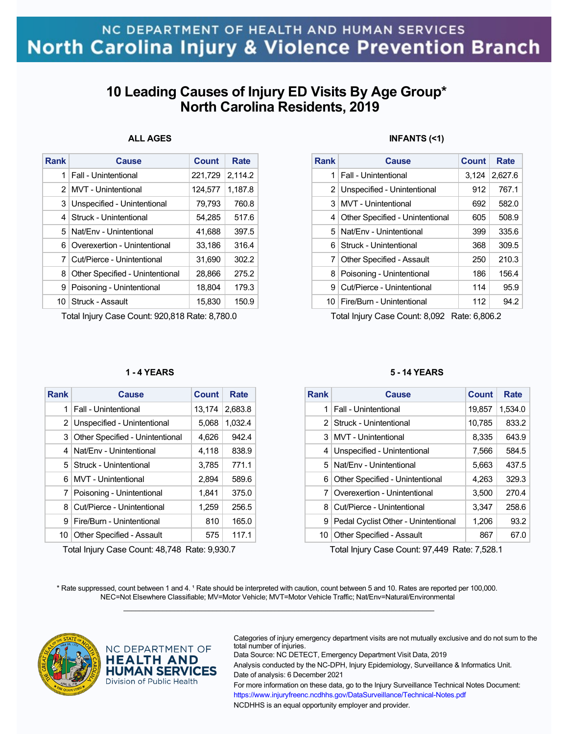## **10 Leading Causes of Injury ED Visits By Age Group\* North Carolina Residents, 2019**

### **ALL AGES**

| Rank          | Cause                           | Count   | Rate    |
|---------------|---------------------------------|---------|---------|
| 1             | Fall - Unintentional            | 221,729 | 2.114.2 |
| $\mathcal{P}$ | MVT - Unintentional             | 124,577 | 1,187.8 |
| 3             | Unspecified - Unintentional     | 79,793  | 760.8   |
| 4             | Struck - Unintentional          | 54,285  | 517.6   |
| 5             | Nat/Env - Unintentional         | 41,688  | 397.5   |
| 6             | Overexertion - Unintentional    | 33,186  | 316.4   |
| 7             | Cut/Pierce - Unintentional      | 31,690  | 302.2   |
| 8             | Other Specified - Unintentional | 28,866  | 275.2   |
| 9             | Poisoning - Unintentional       | 18,804  | 179.3   |
| 10            | Struck - Assault                | 15.830  | 150.9   |

Total Injury Case Count: 920,818 Rate: 8,780.0

### **1 - 4 YEARS**

| Rank | Cause                            | Count  | Rate    |
|------|----------------------------------|--------|---------|
| 1    | Fall - Unintentional             | 13,174 | 2,683.8 |
|      | 2 Unspecified - Unintentional    | 5,068  | 1,032.4 |
| 3    | Other Specified - Unintentional  | 4,626  | 942.4   |
| 4    | Nat/Fny - Unintentional          | 4,118  | 838.9   |
| 5    | Struck - Unintentional           | 3.785  | 771.1   |
| 6    | MVT - Unintentional              | 2,894  | 589.6   |
| 7    | Poisoning - Unintentional        | 1,841  | 375.0   |
| 8    | Cut/Pierce - Unintentional       | 1,259  | 256.5   |
| 9    | Fire/Burn - Unintentional        | 810    | 165.0   |
| 10   | <b>Other Specified - Assault</b> | 575    | 117.1   |

Total Injury Case Count: 48,748 Rate: 9,930.7

### **INFANTS (<1)**

| <b>Rank</b> | Cause                            | <b>Count</b> | Rate    |
|-------------|----------------------------------|--------------|---------|
| 1           | Fall - Unintentional             | 3.124        | 2,627.6 |
|             | 2 Unspecified - Unintentional    | 912          | 767.1   |
| 3           | MVT - Unintentional              | 692          | 582.0   |
| 4           | Other Specified - Unintentional  | 605          | 508.9   |
| 5.          | Nat/Fny - Unintentional          | 399          | 335.6   |
| 6.          | Struck - Unintentional           | 368          | 309.5   |
| 7           | <b>Other Specified - Assault</b> | 250          | 210.3   |
| 8           | Poisoning - Unintentional        | 186          | 156.4   |
| 9           | Cut/Pierce - Unintentional       | 114          | 95.9    |
|             | 10   Fire/Burn - Unintentional   | 112          | 94.2    |

Total Injury Case Count: 8,092 Rate: 6,806.2

#### **5 - 14 YEARS**

| Rank           | Cause                               | Count  | Rate    |
|----------------|-------------------------------------|--------|---------|
| 1              | <b>Fall - Unintentional</b>         | 19,857 | 1,534.0 |
| 2 <sup>1</sup> | Struck - Unintentional              | 10,785 | 833.2   |
|                | 3   MVT - Unintentional             | 8,335  | 643.9   |
| 4              | Unspecified - Unintentional         | 7,566  | 584.5   |
| 5              | Nat/Env - Unintentional             | 5,663  | 437.5   |
| 6              | Other Specified - Unintentional     | 4,263  | 329.3   |
| 7              | Overexertion - Unintentional        | 3,500  | 270.4   |
| 8              | Cut/Pierce - Unintentional          | 3,347  | 258.6   |
| 9              | Pedal Cyclist Other - Unintentional | 1,206  | 93.2    |
| 10             | <b>Other Specified - Assault</b>    | 867    | 67.0    |

Total Injury Case Count: 97,449 Rate: 7,528.1

\* Rate suppressed, count between 1 and 4. <sup>1</sup> Rate should be interpreted with caution, count between 5 and 10. Rates are reported per 100,000. NEC=Not Elsewhere Classifiable; MV=Motor Vehicle; MVT=Motor Vehicle Traffic; Nat/Env=Natural/Environmental  $\mathcal{L}_\mathcal{L} = \{ \mathcal{L}_\mathcal{L} = \{ \mathcal{L}_\mathcal{L} = \{ \mathcal{L}_\mathcal{L} = \{ \mathcal{L}_\mathcal{L} = \{ \mathcal{L}_\mathcal{L} = \{ \mathcal{L}_\mathcal{L} = \{ \mathcal{L}_\mathcal{L} = \{ \mathcal{L}_\mathcal{L} = \{ \mathcal{L}_\mathcal{L} = \{ \mathcal{L}_\mathcal{L} = \{ \mathcal{L}_\mathcal{L} = \{ \mathcal{L}_\mathcal{L} = \{ \mathcal{L}_\mathcal{L} = \{ \mathcal{L}_\mathcal{$ 



NC DEPARTMENT OF **HEALTH AND HUMAN SERVICES** Division of Public Health

Categories of injury emergency department visits are not mutually exclusive and do not sum to the total number of injuries.

Data Source: NC DETECT, Emergency Department Visit Data, 2019

Analysis conducted by the NC-DPH, Injury Epidemiology, Surveillance & Informatics Unit. Date of analysis: 6 December 2021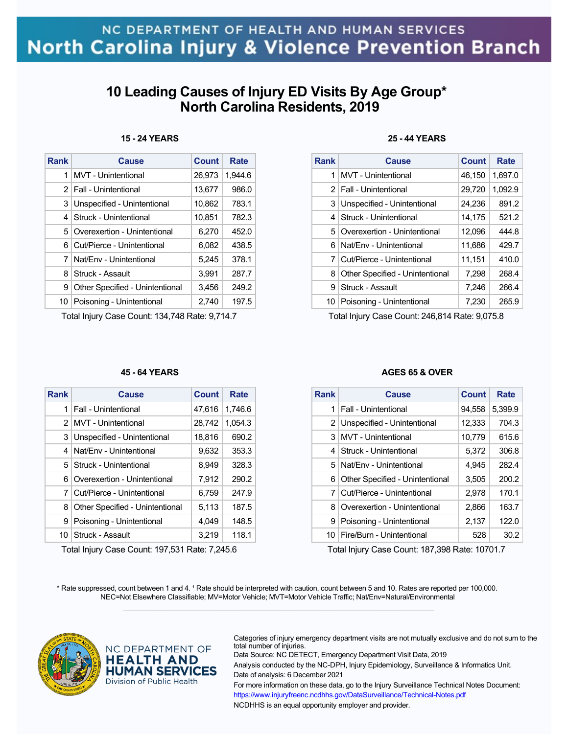## **10 Leading Causes of Injury ED Visits By Age Group\* North Carolina Residents, 2019**

### **15 - 24 YEARS**

| <b>Rank</b>    | Cause                           | <b>Count</b> | Rate    |
|----------------|---------------------------------|--------------|---------|
| 1              | MVT - Unintentional             | 26,973       | 1.944.6 |
|                | 2   Fall - Unintentional        | 13,677       | 986.0   |
| 3              | Unspecified - Unintentional     | 10,862       | 783.1   |
|                | 4   Struck - Unintentional      | 10.851       | 782.3   |
| 5 <sup>1</sup> | Overexertion - Unintentional    | 6.270        | 452.0   |
| 6              | Cut/Pierce - Unintentional      | 6,082        | 438.5   |
| 7              | Nat/Env - Unintentional         | 5,245        | 378.1   |
| 8              | Struck - Assault                | 3,991        | 287.7   |
| 9              | Other Specified - Unintentional | 3,456        | 249.2   |
| 10             | Poisoning - Unintentional       | 2,740        | 197.5   |

Total Injury Case Count: 134,748 Rate: 9,714.7

#### **45 - 64 YEARS**

| <b>Rank</b>   | Cause                           | <b>Count</b> | Rate    |
|---------------|---------------------------------|--------------|---------|
| 1             | Fall - Unintentional            | 47,616       | 1,746.6 |
| $\mathcal{P}$ | MVT - Unintentional             | 28,742       | 1,054.3 |
| 3             | Unspecified - Unintentional     | 18,816       | 690.2   |
| 4             | Nat/Fny - Unintentional         | 9.632        | 353.3   |
| 5.            | l Struck - Unintentional        | 8,949        | 328.3   |
| 6             | Overexertion - Unintentional    | 7,912        | 290.2   |
| 7             | Cut/Pierce - Unintentional      | 6,759        | 247.9   |
| 8             | Other Specified - Unintentional | 5,113        | 187.5   |
| 9             | Poisoning - Unintentional       | 4.049        | 148.5   |
| 10            | Struck - Assault                | 3.219        | 118.1   |

Total Injury Case Count: 197,531 Rate: 7,245.6

### **25 - 44 YEARS**

| <b>Rank</b> | Cause                           | Count  | Rate    |
|-------------|---------------------------------|--------|---------|
| 1           | <b>MVT</b> - Unintentional      | 46,150 | 1,697.0 |
|             | 2   Fall - Unintentional        | 29,720 | 1,092.9 |
| 3           | Unspecified - Unintentional     | 24,236 | 891.2   |
| 4           | Struck - Unintentional          | 14,175 | 521.2   |
| 5.          | Overexertion - Unintentional    | 12,096 | 444.8   |
| 6.          | Nat/Fny - Unintentional         | 11,686 | 429.7   |
| 7           | Cut/Pierce - Unintentional      | 11,151 | 410.0   |
| 8           | Other Specified - Unintentional | 7,298  | 268.4   |
| 9           | Struck - Assault                | 7,246  | 266.4   |
| 10          | Poisoning - Unintentional       | 7,230  | 265.9   |

Total Injury Case Count: 246,814 Rate: 9,075.8

#### **AGES 65 & OVER**

| Rank | Cause                           | Count  | Rate    |
|------|---------------------------------|--------|---------|
| 1    | Fall - Unintentional            | 94,558 | 5,399.9 |
|      | 2 Unspecified - Unintentional   | 12,333 | 704.3   |
| 3    | MVT - Unintentional             | 10,779 | 615.6   |
| 4    | Struck - Unintentional          | 5,372  | 306.8   |
|      | 5 Nat/Fny - Unintentional       | 4,945  | 282.4   |
| 6    | Other Specified - Unintentional | 3,505  | 200.2   |
| 7    | Cut/Pierce - Unintentional      | 2,978  | 170.1   |
| 8    | Overexertion - Unintentional    | 2,866  | 163.7   |
| 9    | Poisoning - Unintentional       | 2,137  | 122.0   |
| 10   | Fire/Burn - Unintentional       | 528    | 30.2    |

Total Injury Case Count: 187,398 Rate: 10701.7

\* Rate suppressed, count between 1 and 4. <sup>1</sup> Rate should be interpreted with caution, count between 5 and 10. Rates are reported per 100,000. NEC=Not Elsewhere Classifiable; MV=Motor Vehicle; MVT=Motor Vehicle Traffic; Nat/Env=Natural/Environmental  $\mathcal{L}_\mathcal{L} = \{ \mathcal{L}_\mathcal{L} = \{ \mathcal{L}_\mathcal{L} = \{ \mathcal{L}_\mathcal{L} = \{ \mathcal{L}_\mathcal{L} = \{ \mathcal{L}_\mathcal{L} = \{ \mathcal{L}_\mathcal{L} = \{ \mathcal{L}_\mathcal{L} = \{ \mathcal{L}_\mathcal{L} = \{ \mathcal{L}_\mathcal{L} = \{ \mathcal{L}_\mathcal{L} = \{ \mathcal{L}_\mathcal{L} = \{ \mathcal{L}_\mathcal{L} = \{ \mathcal{L}_\mathcal{L} = \{ \mathcal{L}_\mathcal{$ 



NC DEPARTMENT OF **HEALTH AND HUMAN SERVICES** Division of Public Health

Categories of injury emergency department visits are not mutually exclusive and do not sum to the total number of injuries.

Data Source: NC DETECT, Emergency Department Visit Data, 2019 Analysis conducted by the NC-DPH, Injury Epidemiology, Surveillance & Informatics Unit. Date of analysis: 6 December 2021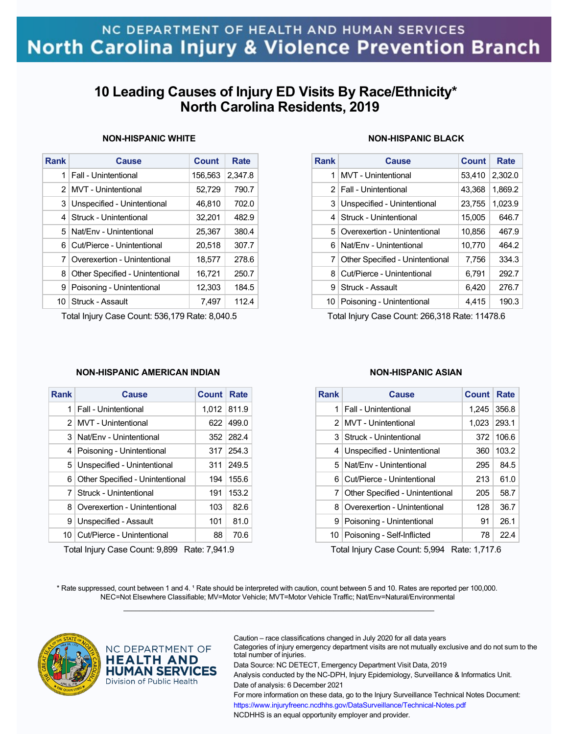## **10 Leading Causes of Injury ED Visits By Race/Ethnicity\* North Carolina Residents, 2019**

### **NON-HISPANIC WHITE**

| <b>Rank</b>    | Cause                           | Count   | Rate    |
|----------------|---------------------------------|---------|---------|
| 1 <sup>1</sup> | Fall - Unintentional            | 156,563 | 2,347.8 |
|                | 2   MVT - Unintentional         | 52,729  | 790.7   |
| 3              | Unspecified - Unintentional     | 46,810  | 702.0   |
|                | 4   Struck - Unintentional      | 32,201  | 482.9   |
| 5              | Nat/Env - Unintentional         | 25,367  | 380.4   |
| 61             | Cut/Pierce - Unintentional      | 20,518  | 307.7   |
| 7              | Overexertion - Unintentional    | 18.577  | 278.6   |
| 8              | Other Specified - Unintentional | 16,721  | 250.7   |
| 9              | Poisoning - Unintentional       | 12,303  | 184.5   |
| 10             | Struck - Assault                | 7,497   | 112.4   |

Total Injury Case Count: 536,179 Rate: 8,040.5

### **NON-HISPANIC BLACK**

| Rank | Cause                           | Count  | Rate    |
|------|---------------------------------|--------|---------|
| 1    | MVT - Unintentional             | 53,410 | 2,302.0 |
|      | 2   Fall - Unintentional        | 43,368 | 1,869.2 |
| 3    | Unspecified - Unintentional     | 23,755 | 1,023.9 |
| 4    | Struck - Unintentional          | 15,005 | 646.7   |
| 5.   | Overexertion - Unintentional    | 10,856 | 467.9   |
| 6    | Nat/Fny - Unintentional         | 10.770 | 464.2   |
| 7    | Other Specified - Unintentional | 7,756  | 334.3   |
| 8    | Cut/Pierce - Unintentional      | 6,791  | 292.7   |
| 9    | Struck - Assault                | 6,420  | 276.7   |
| 10   | Poisoning - Unintentional       | 4,415  | 190.3   |

Total Injury Case Count: 266,318 Rate: 11478.6

### **NON-HISPANIC AMERICAN INDIAN**

| Cause                                    | <b>Count</b> | Rate        |
|------------------------------------------|--------------|-------------|
| Fall - Unintentional                     |              |             |
| MVT - Unintentional<br>2 <sup>1</sup>    | 622.         | 499.0       |
| Nat/Env - Unintentional                  |              | 352 282.4   |
| Poisoning - Unintentional                | 317          | 254.3       |
| 5 Unspecified - Unintentional            | 311          | 249.5       |
| Other Specified - Unintentional          | 194          | 155.6       |
| Struck - Unintentional<br>7 <sup>1</sup> | 191          | 153.2       |
| Overexertion - Unintentional             | 103          | 82.6        |
| Unspecified - Assault                    | 101          | 81.0        |
| Cut/Pierce - Unintentional               | 88           | 70.6        |
|                                          |              | 1.012 811.9 |

Total Injury Case Count: 9,899 Rate: 7,941.9

### **NON-HISPANIC ASIAN**

| Rank           | Cause                           | <b>Count</b> | Rate  |
|----------------|---------------------------------|--------------|-------|
| 1              | Fall - Unintentional            | 1,245        | 356.8 |
| 2 <sub>1</sub> | MVT - Unintentional             | 1,023        | 293.1 |
| 3              | Struck - Unintentional          | 372          | 106.6 |
| 4              | Unspecified - Unintentional     | 360          | 103.2 |
| 5.             | Nat/Fny - Unintentional         | 295          | 84.5  |
| 6              | Cut/Pierce - Unintentional      | 213          | 61.0  |
| 7              | Other Specified - Unintentional | 205          | 58.7  |
| 8              | Overexertion - Unintentional    | 128          | 36.7  |
| 9              | Poisoning - Unintentional       | 91           | 26.1  |
| 10 I           | Poisoning - Self-Inflicted      | 78           | 22.4  |

Total Injury Case Count: 5,994 Rate: 1,717.6

\* Rate suppressed, count between 1 and 4. <sup>1</sup> Rate should be interpreted with caution, count between 5 and 10. Rates are reported per 100,000. NEC=Not Elsewhere Classifiable; MV=Motor Vehicle; MVT=Motor Vehicle Traffic; Nat/Env=Natural/Environmental  $\mathcal{L}_\mathcal{L} = \{ \mathcal{L}_\mathcal{L} = \{ \mathcal{L}_\mathcal{L} = \{ \mathcal{L}_\mathcal{L} = \{ \mathcal{L}_\mathcal{L} = \{ \mathcal{L}_\mathcal{L} = \{ \mathcal{L}_\mathcal{L} = \{ \mathcal{L}_\mathcal{L} = \{ \mathcal{L}_\mathcal{L} = \{ \mathcal{L}_\mathcal{L} = \{ \mathcal{L}_\mathcal{L} = \{ \mathcal{L}_\mathcal{L} = \{ \mathcal{L}_\mathcal{L} = \{ \mathcal{L}_\mathcal{L} = \{ \mathcal{L}_\mathcal{$ 



NC DEPARTMENT OF **HEALTH AND HUMAN SERVICES** Division of Public Health

Caution – race classifications changed in July 2020 for all data years

Categories of injury emergency department visits are not mutually exclusive and do not sum to the total number of injuries.

Data Source: NC DETECT, Emergency Department Visit Data, 2019

Analysis conducted by the NC-DPH, Injury Epidemiology, Surveillance & Informatics Unit. Date of analysis: 6 December 2021